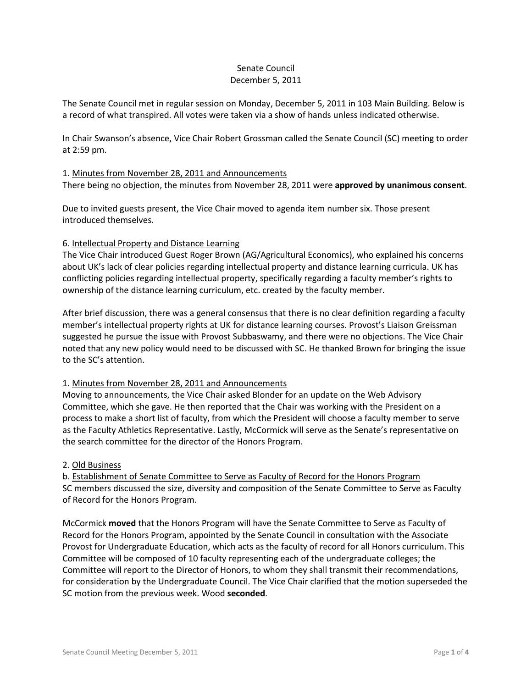### Senate Council December 5, 2011

The Senate Council met in regular session on Monday, December 5, 2011 in 103 Main Building. Below is a record of what transpired. All votes were taken via a show of hands unless indicated otherwise.

In Chair Swanson's absence, Vice Chair Robert Grossman called the Senate Council (SC) meeting to order at 2:59 pm.

### 1. Minutes from November 28, 2011 and Announcements

There being no objection, the minutes from November 28, 2011 were **approved by unanimous consent**.

Due to invited guests present, the Vice Chair moved to agenda item number six. Those present introduced themselves.

### 6. Intellectual Property and Distance Learning

The Vice Chair introduced Guest Roger Brown (AG/Agricultural Economics), who explained his concerns about UK's lack of clear policies regarding intellectual property and distance learning curricula. UK has conflicting policies regarding intellectual property, specifically regarding a faculty member's rights to ownership of the distance learning curriculum, etc. created by the faculty member.

After brief discussion, there was a general consensus that there is no clear definition regarding a faculty member's intellectual property rights at UK for distance learning courses. Provost's Liaison Greissman suggested he pursue the issue with Provost Subbaswamy, and there were no objections. The Vice Chair noted that any new policy would need to be discussed with SC. He thanked Brown for bringing the issue to the SC's attention.

### 1. Minutes from November 28, 2011 and Announcements

Moving to announcements, the Vice Chair asked Blonder for an update on the Web Advisory Committee, which she gave. He then reported that the Chair was working with the President on a process to make a short list of faculty, from which the President will choose a faculty member to serve as the Faculty Athletics Representative. Lastly, McCormick will serve as the Senate's representative on the search committee for the director of the Honors Program.

### 2. Old Business

b. Establishment of Senate Committee to Serve as Faculty of Record for the Honors Program SC members discussed the size, diversity and composition of the Senate Committee to Serve as Faculty of Record for the Honors Program.

McCormick **moved** that the Honors Program will have the Senate Committee to Serve as Faculty of Record for the Honors Program, appointed by the Senate Council in consultation with the Associate Provost for Undergraduate Education, which acts as the faculty of record for all Honors curriculum. This Committee will be composed of 10 faculty representing each of the undergraduate colleges; the Committee will report to the Director of Honors, to whom they shall transmit their recommendations, for consideration by the Undergraduate Council. The Vice Chair clarified that the motion superseded the SC motion from the previous week. Wood **seconded**.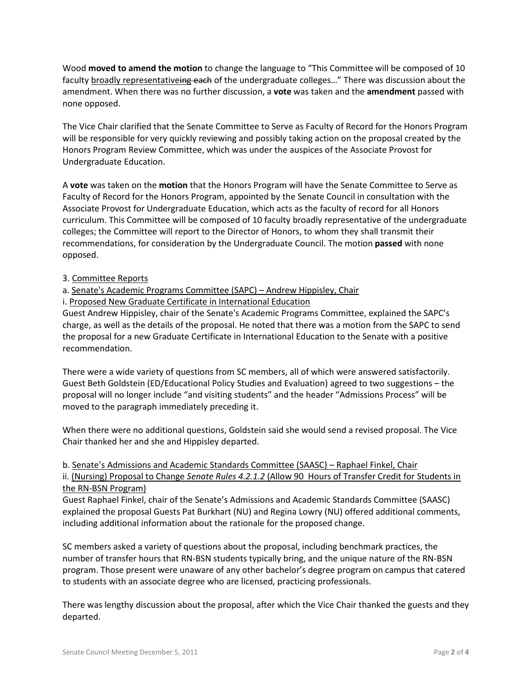Wood **moved to amend the motion** to change the language to "This Committee will be composed of 10 faculty broadly representativeing each of the undergraduate colleges..." There was discussion about the amendment. When there was no further discussion, a **vote** was taken and the **amendment** passed with none opposed.

The Vice Chair clarified that the Senate Committee to Serve as Faculty of Record for the Honors Program will be responsible for very quickly reviewing and possibly taking action on the proposal created by the Honors Program Review Committee, which was under the auspices of the Associate Provost for Undergraduate Education.

A **vote** was taken on the **motion** that the Honors Program will have the Senate Committee to Serve as Faculty of Record for the Honors Program, appointed by the Senate Council in consultation with the Associate Provost for Undergraduate Education, which acts as the faculty of record for all Honors curriculum. This Committee will be composed of 10 faculty broadly representative of the undergraduate colleges; the Committee will report to the Director of Honors, to whom they shall transmit their recommendations, for consideration by the Undergraduate Council. The motion **passed** with none opposed.

# 3. Committee Reports

# a. Senate's Academic Programs Committee (SAPC) – Andrew Hippisley, Chair

i. Proposed New Graduate Certificate in International Education

Guest Andrew Hippisley, chair of the Senate's Academic Programs Committee, explained the SAPC's charge, as well as the details of the proposal. He noted that there was a motion from the SAPC to send the proposal for a new Graduate Certificate in International Education to the Senate with a positive recommendation.

There were a wide variety of questions from SC members, all of which were answered satisfactorily. Guest Beth Goldstein (ED/Educational Policy Studies and Evaluation) agreed to two suggestions – the proposal will no longer include "and visiting students" and the header "Admissions Process" will be moved to the paragraph immediately preceding it.

When there were no additional questions, Goldstein said she would send a revised proposal. The Vice Chair thanked her and she and Hippisley departed.

# b. Senate's Admissions and Academic Standards Committee (SAASC) – Raphael Finkel, Chair ii. (Nursing) Proposal to Change *Senate Rules 4.2.1.2* (Allow 90 Hours of Transfer Credit for Students in the RN-BSN Program)

Guest Raphael Finkel, chair of the Senate's Admissions and Academic Standards Committee (SAASC) explained the proposal Guests Pat Burkhart (NU) and Regina Lowry (NU) offered additional comments, including additional information about the rationale for the proposed change.

SC members asked a variety of questions about the proposal, including benchmark practices, the number of transfer hours that RN-BSN students typically bring, and the unique nature of the RN-BSN program. Those present were unaware of any other bachelor's degree program on campus that catered to students with an associate degree who are licensed, practicing professionals.

There was lengthy discussion about the proposal, after which the Vice Chair thanked the guests and they departed.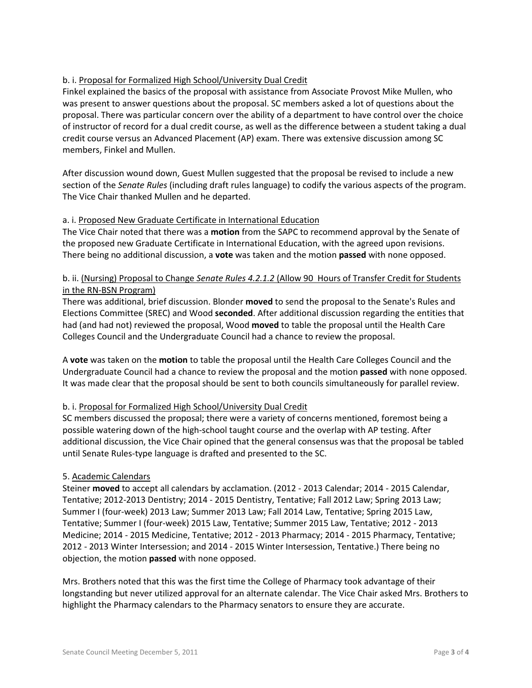# b. i. Proposal for Formalized High School/University Dual Credit

Finkel explained the basics of the proposal with assistance from Associate Provost Mike Mullen, who was present to answer questions about the proposal. SC members asked a lot of questions about the proposal. There was particular concern over the ability of a department to have control over the choice of instructor of record for a dual credit course, as well as the difference between a student taking a dual credit course versus an Advanced Placement (AP) exam. There was extensive discussion among SC members, Finkel and Mullen.

After discussion wound down, Guest Mullen suggested that the proposal be revised to include a new section of the *Senate Rules* (including draft rules language) to codify the various aspects of the program. The Vice Chair thanked Mullen and he departed.

# a. i. Proposed New Graduate Certificate in International Education

The Vice Chair noted that there was a **motion** from the SAPC to recommend approval by the Senate of the proposed new Graduate Certificate in International Education, with the agreed upon revisions. There being no additional discussion, a **vote** was taken and the motion **passed** with none opposed.

# b. ii. (Nursing) Proposal to Change *Senate Rules 4.2.1.2* (Allow 90 Hours of Transfer Credit for Students in the RN-BSN Program)

There was additional, brief discussion. Blonder **moved** to send the proposal to the Senate's Rules and Elections Committee (SREC) and Wood **seconded**. After additional discussion regarding the entities that had (and had not) reviewed the proposal, Wood **moved** to table the proposal until the Health Care Colleges Council and the Undergraduate Council had a chance to review the proposal.

A **vote** was taken on the **motion** to table the proposal until the Health Care Colleges Council and the Undergraduate Council had a chance to review the proposal and the motion **passed** with none opposed. It was made clear that the proposal should be sent to both councils simultaneously for parallel review.

# b. i. Proposal for Formalized High School/University Dual Credit

SC members discussed the proposal; there were a variety of concerns mentioned, foremost being a possible watering down of the high-school taught course and the overlap with AP testing. After additional discussion, the Vice Chair opined that the general consensus was that the proposal be tabled until Senate Rules-type language is drafted and presented to the SC.

# 5. Academic Calendars

Steiner **moved** to accept all calendars by acclamation. (2012 - 2013 Calendar; 2014 - 2015 Calendar, Tentative; 2012-2013 Dentistry; 2014 - 2015 Dentistry, Tentative; Fall 2012 Law; Spring 2013 Law; Summer I (four-week) 2013 Law; Summer 2013 Law; Fall 2014 Law, Tentative; Spring 2015 Law, Tentative; Summer I (four-week) 2015 Law, Tentative; Summer 2015 Law, Tentative; 2012 - 2013 Medicine; 2014 - 2015 Medicine, Tentative; 2012 - 2013 Pharmacy; 2014 - 2015 Pharmacy, Tentative; 2012 - 2013 Winter Intersession; and 2014 - 2015 Winter Intersession, Tentative.) There being no objection, the motion **passed** with none opposed.

Mrs. Brothers noted that this was the first time the College of Pharmacy took advantage of their longstanding but never utilized approval for an alternate calendar. The Vice Chair asked Mrs. Brothers to highlight the Pharmacy calendars to the Pharmacy senators to ensure they are accurate.